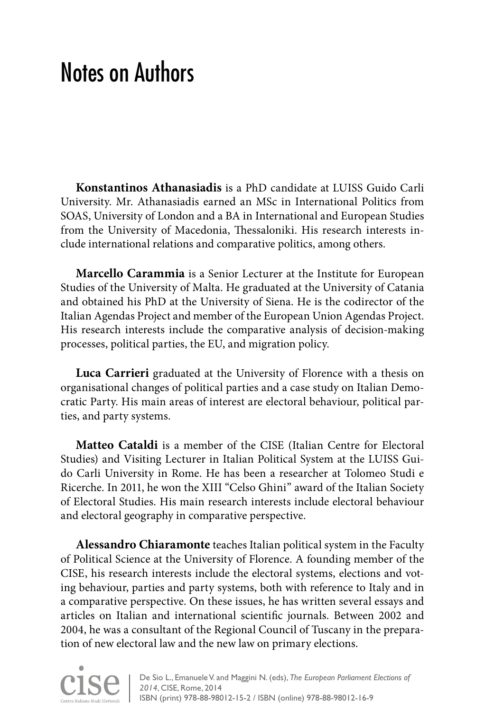## Notes on Authors

**Konstantinos Athanasiadis** is a PhD candidate at LUISS Guido Carli University. Mr. Athanasiadis earned an MSc in International Politics from SOAS, University of London and a BA in International and European Studies from the University of Macedonia, Thessaloniki. His research interests include international relations and comparative politics, among others.

**Marcello Carammia** is a Senior Lecturer at the Institute for European Studies of the University of Malta. He graduated at the University of Catania and obtained his PhD at the University of Siena. He is the codirector of the Italian Agendas Project and member of the European Union Agendas Project. His research interests include the comparative analysis of decision-making processes, political parties, the EU, and migration policy.

**Luca Carrieri** graduated at the University of Florence with a thesis on organisational changes of political parties and a case study on Italian Democratic Party. His main areas of interest are electoral behaviour, political parties, and party systems.

**Matteo Cataldi** is a member of the CISE (Italian Centre for Electoral Studies) and Visiting Lecturer in Italian Political System at the LUISS Guido Carli University in Rome. He has been a researcher at Tolomeo Studi e Ricerche. In 2011, he won the XIII "Celso Ghini" award of the Italian Society of Electoral Studies. His main research interests include electoral behaviour and electoral geography in comparative perspective.

**Alessandro Chiaramonte** teaches Italian political system in the Faculty of Political Science at the University of Florence. A founding member of the CISE, his research interests include the electoral systems, elections and voting behaviour, parties and party systems, both with reference to Italy and in a comparative perspective. On these issues, he has written several essays and articles on Italian and international scientific journals. Between 2002 and 2004, he was a consultant of the Regional Council of Tuscany in the preparation of new electoral law and the new law on primary elections.

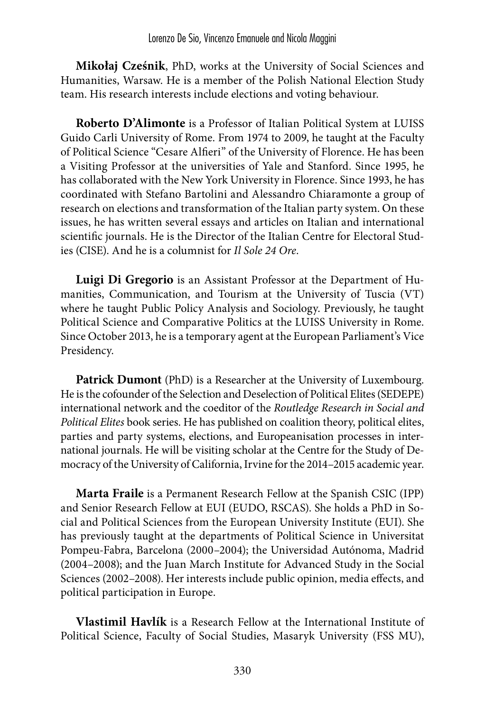**Mikołaj Cześnik**, PhD, works at the University of Social Sciences and Humanities, Warsaw. He is a member of the Polish National Election Study team. His research interests include elections and voting behaviour.

**Roberto D'Alimonte** is a Professor of Italian Political System at LUISS Guido Carli University of Rome. From 1974 to 2009, he taught at the Faculty of Political Science "Cesare Alfieri" of the University of Florence. He has been a Visiting Professor at the universities of Yale and Stanford. Since 1995, he has collaborated with the New York University in Florence. Since 1993, he has coordinated with Stefano Bartolini and Alessandro Chiaramonte a group of research on elections and transformation of the Italian party system. On these issues, he has written several essays and articles on Italian and international scientific journals. He is the Director of the Italian Centre for Electoral Studies (CISE). And he is a columnist for *Il Sole 24 Ore*.

**Luigi Di Gregorio** is an Assistant Professor at the Department of Humanities, Communication, and Tourism at the University of Tuscia (VT) where he taught Public Policy Analysis and Sociology. Previously, he taught Political Science and Comparative Politics at the LUISS University in Rome. Since October 2013, he is a temporary agent at the European Parliament's Vice Presidency.

**Patrick Dumont** (PhD) is a Researcher at the University of Luxembourg. He is the cofounder of the Selection and Deselection of Political Elites (SEDEPE) international network and the coeditor of the *Routledge Research in Social and Political Elites* book series. He has published on coalition theory, political elites, parties and party systems, elections, and Europeanisation processes in international journals. He will be visiting scholar at the Centre for the Study of Democracy of the University of California, Irvine for the 2014–2015 academic year.

**Marta Fraile** is a Permanent Research Fellow at the Spanish CSIC (IPP) and Senior Research Fellow at EUI (EUDO, RSCAS). She holds a PhD in Social and Political Sciences from the European University Institute (EUI). She has previously taught at the departments of Political Science in Universitat Pompeu-Fabra, Barcelona (2000–2004); the Universidad Autónoma, Madrid (2004–2008); and the Juan March Institute for Advanced Study in the Social Sciences (2002–2008). Her interests include public opinion, media effects, and political participation in Europe.

**Vlastimil Havlík** is a Research Fellow at the International Institute of Political Science, Faculty of Social Studies, Masaryk University (FSS MU),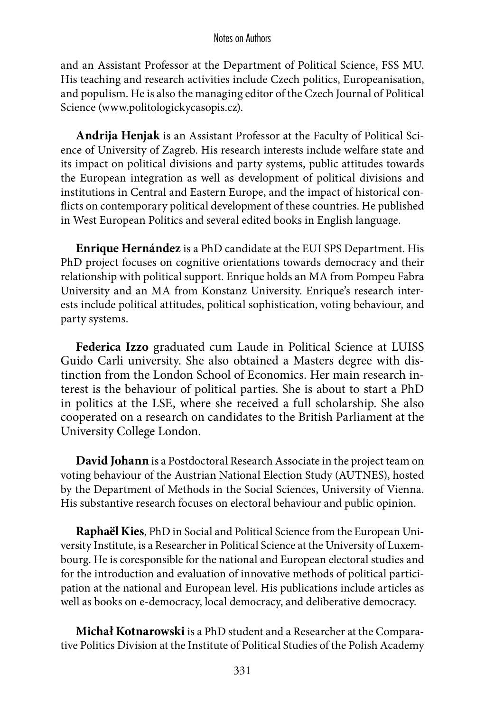and an Assistant Professor at the Department of Political Science, FSS MU. His teaching and research activities include Czech politics, Europeanisation, and populism. He is also the managing editor of the Czech Journal of Political Science (www.politologickycasopis.cz).

**Andrija Henjak** is an Assistant Professor at the Faculty of Political Science of University of Zagreb. His research interests include welfare state and its impact on political divisions and party systems, public attitudes towards the European integration as well as development of political divisions and institutions in Central and Eastern Europe, and the impact of historical conflicts on contemporary political development of these countries. He published in West European Politics and several edited books in English language.

**Enrique Hernández** is a PhD candidate at the EUI SPS Department. His PhD project focuses on cognitive orientations towards democracy and their relationship with political support. Enrique holds an MA from Pompeu Fabra University and an MA from Konstanz University. Enrique's research interests include political attitudes, political sophistication, voting behaviour, and party systems.

**Federica Izzo** graduated cum Laude in Political Science at LUISS Guido Carli university. She also obtained a Masters degree with distinction from the London School of Economics. Her main research interest is the behaviour of political parties. She is about to start a PhD in politics at the LSE, where she received a full scholarship. She also cooperated on a research on candidates to the British Parliament at the University College London.

**David Johann** is a Postdoctoral Research Associate in the project team on voting behaviour of the Austrian National Election Study (AUTNES), hosted by the Department of Methods in the Social Sciences, University of Vienna. His substantive research focuses on electoral behaviour and public opinion.

**Raphaël Kies**, PhD in Social and Political Science from the European University Institute, is a Researcher in Political Science at the University of Luxembourg. He is coresponsible for the national and European electoral studies and for the introduction and evaluation of innovative methods of political participation at the national and European level. His publications include articles as well as books on e-democracy, local democracy, and deliberative democracy.

**Michał Kotnarowski** is a PhD student and a Researcher at the Comparative Politics Division at the Institute of Political Studies of the Polish Academy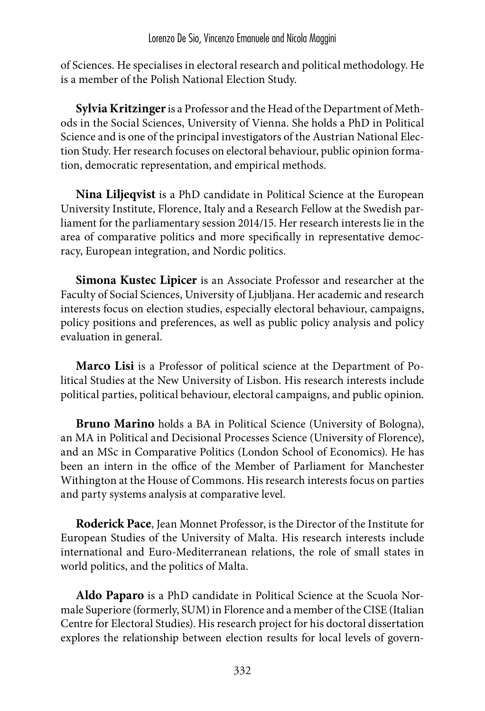of Sciences. He specialises in electoral research and political methodology. He is a member of the Polish National Election Study.

**Sylvia Kritzinger** is a Professor and the Head of the Department of Methods in the Social Sciences, University of Vienna. She holds a PhD in Political Science and is one of the principal investigators of the Austrian National Election Study. Her research focuses on electoral behaviour, public opinion formation, democratic representation, and empirical methods.

**Nina Liljeqvist** is a PhD candidate in Political Science at the European University Institute, Florence, Italy and a Research Fellow at the Swedish parliament for the parliamentary session 2014/15. Her research interests lie in the area of comparative politics and more specifically in representative democracy, European integration, and Nordic politics.

**Simona Kustec Lipicer** is an Associate Professor and researcher at the Faculty of Social Sciences, University of Ljubljana. Her academic and research interests focus on election studies, especially electoral behaviour, campaigns, policy positions and preferences, as well as public policy analysis and policy evaluation in general.

**Marco Lisi** is a Professor of political science at the Department of Political Studies at the New University of Lisbon. His research interests include political parties, political behaviour, electoral campaigns, and public opinion.

**Bruno Marino** holds a BA in Political Science (University of Bologna), an MA in Political and Decisional Processes Science (University of Florence), and an MSc in Comparative Politics (London School of Economics). He has been an intern in the office of the Member of Parliament for Manchester Withington at the House of Commons. His research interests focus on parties and party systems analysis at comparative level.

**Roderick Pace**, Jean Monnet Professor, is the Director of the Institute for European Studies of the University of Malta. His research interests include international and Euro-Mediterranean relations, the role of small states in world politics, and the politics of Malta.

**Aldo Paparo** is a PhD candidate in Political Science at the Scuola Normale Superiore (formerly, SUM) in Florence and a member of the CISE (Italian Centre for Electoral Studies). His research project for his doctoral dissertation explores the relationship between election results for local levels of govern-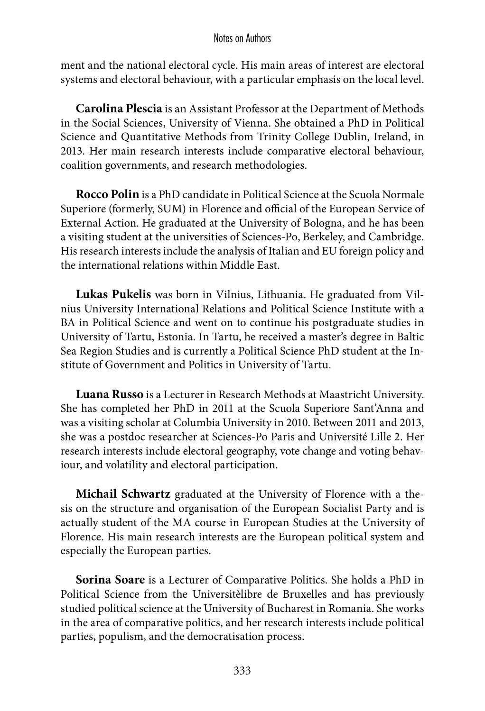## Notes on Authors

ment and the national electoral cycle. His main areas of interest are electoral systems and electoral behaviour, with a particular emphasis on the local level.

**Carolina Plescia** is an Assistant Professor at the Department of Methods in the Social Sciences, University of Vienna. She obtained a PhD in Political Science and Quantitative Methods from Trinity College Dublin, Ireland, in 2013. Her main research interests include comparative electoral behaviour, coalition governments, and research methodologies.

**Rocco Polin** is a PhD candidate in Political Science at the Scuola Normale Superiore (formerly, SUM) in Florence and official of the European Service of External Action. He graduated at the University of Bologna, and he has been a visiting student at the universities of Sciences-Po, Berkeley, and Cambridge. His research interests include the analysis of Italian and EU foreign policy and the international relations within Middle East.

**Lukas Pukelis** was born in Vilnius, Lithuania. He graduated from Vilnius University International Relations and Political Science Institute with a BA in Political Science and went on to continue his postgraduate studies in University of Tartu, Estonia. In Tartu, he received a master's degree in Baltic Sea Region Studies and is currently a Political Science PhD student at the Institute of Government and Politics in University of Tartu.

**Luana Russo** is a Lecturer in Research Methods at Maastricht University. She has completed her PhD in 2011 at the Scuola Superiore Sant'Anna and was a visiting scholar at Columbia University in 2010. Between 2011 and 2013, she was a postdoc researcher at Sciences-Po Paris and Université Lille 2. Her research interests include electoral geography, vote change and voting behaviour, and volatility and electoral participation.

**Michail Schwartz** graduated at the University of Florence with a thesis on the structure and organisation of the European Socialist Party and is actually student of the MA course in European Studies at the University of Florence. His main research interests are the European political system and especially the European parties.

**Sorina Soare** is a Lecturer of Comparative Politics. She holds a PhD in Political Science from the Universitèlibre de Bruxelles and has previously studied political science at the University of Bucharest in Romania. She works in the area of comparative politics, and her research interests include political parties, populism, and the democratisation process.